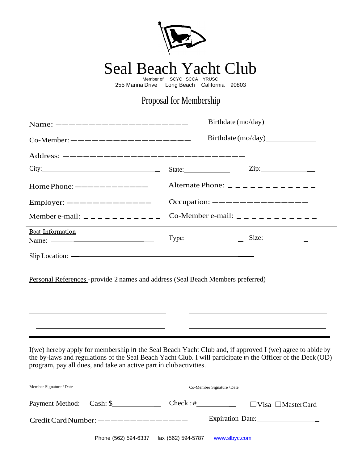

Seal Beach Yacht Club Member of SCYC SCCA YRUSC

255 Marina Drive Long Beach California 90803

## Proposal for Membership

| Name: $---------------------------$<br>Co-Member: $-\frac{\cdots}{\cdots}$ - $-\frac{\cdots}{\cdots}$ - $-\frac{\cdots}{\cdots}$ - $-\frac{\cdots}{\cdots}$                                                                                                                                                                                                                                                                                  |                                                        |                            |  |
|----------------------------------------------------------------------------------------------------------------------------------------------------------------------------------------------------------------------------------------------------------------------------------------------------------------------------------------------------------------------------------------------------------------------------------------------|--------------------------------------------------------|----------------------------|--|
|                                                                                                                                                                                                                                                                                                                                                                                                                                              |                                                        |                            |  |
| City:                                                                                                                                                                                                                                                                                                                                                                                                                                        |                                                        | $\overline{\mathrm{Zip:}}$ |  |
| Home Phone: $------------$                                                                                                                                                                                                                                                                                                                                                                                                                   | Alternate Phone: $\frac{\qquad \qquad}{\qquad \qquad}$ |                            |  |
| Employer: $------------$                                                                                                                                                                                                                                                                                                                                                                                                                     | Occupation: $---------------$                          |                            |  |
| Member e-mail: $\_\_$ $\_\_$ $\_\_$ $\_\_$ $\_\_$ $\_\_$ $\_\_$                                                                                                                                                                                                                                                                                                                                                                              | Co-Member e-mail: $\_\_\_$                             |                            |  |
| Boat Information<br>Name: $\frac{1}{\sqrt{1-\frac{1}{2}}}\frac{1}{\sqrt{1-\frac{1}{2}}}\frac{1}{\sqrt{1-\frac{1}{2}}}\frac{1}{\sqrt{1-\frac{1}{2}}}\frac{1}{\sqrt{1-\frac{1}{2}}}\frac{1}{\sqrt{1-\frac{1}{2}}}\frac{1}{\sqrt{1-\frac{1}{2}}}\frac{1}{\sqrt{1-\frac{1}{2}}}\frac{1}{\sqrt{1-\frac{1}{2}}}\frac{1}{\sqrt{1-\frac{1}{2}}}\frac{1}{\sqrt{1-\frac{1}{2}}}\frac{1}{\sqrt{1-\frac{1}{2}}}\frac{1}{\sqrt{1-\frac{1}{2}}}\frac{1}{\$ |                                                        |                            |  |
|                                                                                                                                                                                                                                                                                                                                                                                                                                              |                                                        |                            |  |

Personal References -provide 2 names and address (Seal Beach Members preferred)

I(we) hereby apply for membership in the Seal Beach Yacht Club and, if approved I (we) agree to abideby the by-laws and regulations of the Seal Beach Yacht Club. I will participate in the Officer of the Deck (OD) program, pay all dues, and take an active part in club activities.

| Member Signature / Date |                                       |                    | Co-Member Signature / Date |                               |
|-------------------------|---------------------------------------|--------------------|----------------------------|-------------------------------|
|                         | Payment Method: Cash: \$              | $Check : \#$       |                            | $\Box$ Visa $\Box$ MasterCard |
|                         | Credit Card Number: $---------------$ |                    |                            | Expiration Date:              |
|                         | Phone (562) 594-6337                  | fax (562) 594-5787 | www.slbyc.com              |                               |